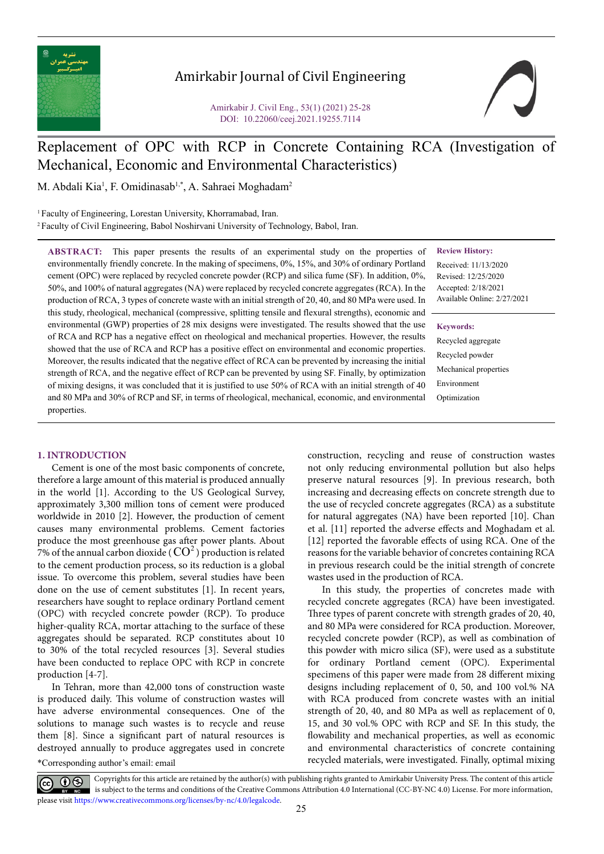

# Amirkabir Journal of Civil Engineering

Amirkabir J. Civil Eng., 53(1) (2021) 25-28 DOI: 10.22060/ceej.2021.19255.7114



# Replacement of OPC with RCP in Concrete Containing RCA (Investigation of Mechanical, Economic and Environmental Characteristics)

M. Abdali Kia<sup>1</sup>, F. Omidinasab<sup>1,\*</sup>, A. Sahraei Moghadam<sup>2</sup>

<sup>1</sup> Faculty of Engineering, Lorestan University, Khorramabad, Iran. 2 Faculty of Civil Engineering, Babol Noshirvani University of Technology, Babol, Iran.

**Review History:**

Received: 11/13/2020 Revised: 12/25/2020 Accepted: 2/18/2021 Available Online: 2/27/2021

**Keywords:**

Recycled aggregate Recycled powder Mechanical properties Environment Optimization

**ABSTRACT:** This paper presents the results of an experimental study on the properties of environmentally friendly concrete. In the making of specimens, 0%, 15%, and 30% of ordinary Portland cement (OPC) were replaced by recycled concrete powder (RCP) and silica fume (SF). In addition, 0%, 50%, and 100% of natural aggregates (NA) were replaced by recycled concrete aggregates (RCA). In the production of RCA, 3 types of concrete waste with an initial strength of 20, 40, and 80 MPa were used. In this study, rheological, mechanical (compressive, splitting tensile and flexural strengths), economic and environmental (GWP) properties of 28 mix designs were investigated. The results showed that the use of RCA and RCP has a negative effect on rheological and mechanical properties. However, the results showed that the use of RCA and RCP has a positive effect on environmental and economic properties. Moreover, the results indicated that the negative effect of RCA can be prevented by increasing the initial strength of RCA, and the negative effect of RCP can be prevented by using SF. Finally, by optimization of mixing designs, it was concluded that it is justified to use 50% of RCA with an initial strength of 40 and 80 MPa and 30% of RCP and SF, in terms of rheological, mechanical, economic, and environmental properties.

# **1. INTRODUCTION**

Cement is one of the most basic components of concrete, therefore a large amount of this material is produced annually in the world [1]. According to the US Geological Survey, approximately 3,300 million tons of cement were produced worldwide in 2010 [2]. However, the production of cement causes many environmental problems. Cement factories produce the most greenhouse gas after power plants. About 7% of the annual carbon dioxide ( $CO<sup>2</sup>$ ) production is related to the cement production process, so its reduction is a global issue. To overcome this problem, several studies have been done on the use of cement substitutes [1]. In recent years, researchers have sought to replace ordinary Portland cement (OPC) with recycled concrete powder (RCP). To produce higher-quality RCA, mortar attaching to the surface of these aggregates should be separated. RCP constitutes about 10 to 30% of the total recycled resources [3]. Several studies have been conducted to replace OPC with RCP in concrete production [4-7].

\*Corresponding author's email: email In Tehran, more than 42,000 tons of construction waste is produced daily. This volume of construction wastes will have adverse environmental consequences. One of the solutions to manage such wastes is to recycle and reuse them [8]. Since a significant part of natural resources is destroyed annually to produce aggregates used in concrete

construction, recycling and reuse of construction wastes not only reducing environmental pollution but also helps preserve natural resources [9]. In previous research, both increasing and decreasing effects on concrete strength due to the use of recycled concrete aggregates (RCA) as a substitute for natural aggregates (NA) have been reported [10]. Chan et al. [11] reported the adverse effects and Moghadam et al. [12] reported the favorable effects of using RCA. One of the reasons for the variable behavior of concretes containing RCA in previous research could be the initial strength of concrete wastes used in the production of RCA.

In this study, the properties of concretes made with recycled concrete aggregates (RCA) have been investigated. Three types of parent concrete with strength grades of 20, 40, and 80 MPa were considered for RCA production. Moreover, recycled concrete powder (RCP), as well as combination of this powder with micro silica (SF), were used as a substitute for ordinary Portland cement (OPC). Experimental specimens of this paper were made from 28 different mixing designs including replacement of 0, 50, and 100 vol.% NA with RCA produced from concrete wastes with an initial strength of 20, 40, and 80 MPa as well as replacement of 0, 15, and 30 vol.% OPC with RCP and SF. In this study, the flowability and mechanical properties, as well as economic and environmental characteristics of concrete containing recycled materials, were investigated. Finally, optimal mixing

Copyrights for this article are retained by the author(s) with publishing rights granted to Amirkabir University Press. The content of this article is subject to the terms and conditions of the Creative Commons Attribution 4.0 International (CC-BY-NC 4.0) License. For more information, please visit https://www.creativecommons.org/licenses/by-nc/4.0/legalcode.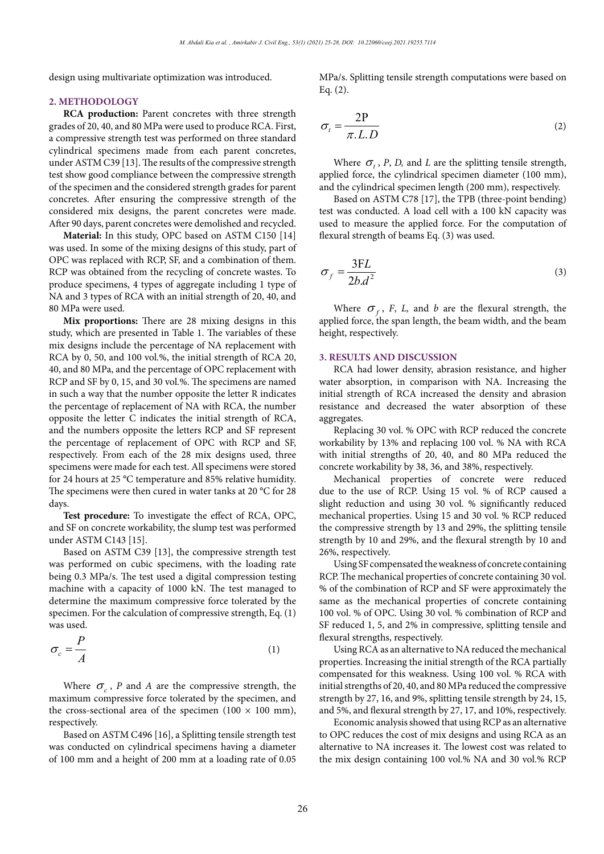design using multivariate optimization was introduced.

### **2. METHODOLOGY**

**RCA production:** Parent concretes with three strength grades of 20, 40, and 80 MPa were used to produce RCA. First, a compressive strength test was performed on three standard cylindrical specimens made from each parent concretes, under ASTM C39 [13]. The results of the compressive strength test show good compliance between the compressive strength of the specimen and the considered strength grades for parent concretes. After ensuring the compressive strength of the considered mix designs, the parent concretes were made. After 90 days, parent concretes were demolished and recycled.

**Material:** In this study, OPC based on ASTM C150 [14] was used. In some of the mixing designs of this study, part of OPC was replaced with RCP, SF, and a combination of them. RCP was obtained from the recycling of concrete wastes. To produce specimens, 4 types of aggregate including 1 type of NA and 3 types of RCA with an initial strength of 20, 40, and 80 MPa were used.

**Mix proportions:** There are 28 mixing designs in this study, which are presented in Table 1. The variables of these mix designs include the percentage of NA replacement with RCA by 0, 50, and 100 vol.%, the initial strength of RCA 20, 40, and 80 MPa, and the percentage of OPC replacement with RCP and SF by 0, 15, and 30 vol.%. The specimens are named in such a way that the number opposite the letter R indicates the percentage of replacement of NA with RCA, the number opposite the letter C indicates the initial strength of RCA, and the numbers opposite the letters RCP and SF represent the percentage of replacement of OPC with RCP and SF, respectively. From each of the 28 mix designs used, three specimens were made for each test. All specimens were stored for 24 hours at 25 °C temperature and 85% relative humidity. The specimens were then cured in water tanks at 20 °C for 28 days.

**Test procedure:** To investigate the effect of RCA, OPC, and SF on concrete workability, the slump test was performed under ASTM C143 [15].

Based on ASTM C39 [13], the compressive strength test was performed on cubic specimens, with the loading rate being 0.3 MPa/s. The test used a digital compression testing machine with a capacity of 1000 kN. The test managed to determine the maximum compressive force tolerated by the specimen. For the calculation of compressive strength, Eq. (1) was used.

$$
\sigma_c = \frac{P}{A} \tag{1}
$$

Where  $\sigma_c$ , *P* and *A* are the compressive strength, the maximum compressive force tolerated by the specimen, and the cross-sectional area of the specimen (100  $\times$  100 mm), respectively.

Based on ASTM C496 [16], a Splitting tensile strength test was conducted on cylindrical specimens having a diameter of 100 mm and a height of 200 mm at a loading rate of 0.05 MPa/s. Splitting tensile strength computations were based on Eq. (2).

$$
\sigma_t = \frac{2P}{\pi L.D}
$$
 (2)

Where  $\sigma$ , *P*, *D*, and *L* are the splitting tensile strength, applied force, the cylindrical specimen diameter (100 mm), and the cylindrical specimen length (200 mm), respectively.

Based on ASTM C78 [17], the TPB (three-point bending) test was conducted. A load cell with a 100 kN capacity was used to measure the applied force. For the computation of flexural strength of beams Eq. (3) was used.

$$
\sigma_f = \frac{3FL}{2b.d^2} \tag{3}
$$

Where  $\sigma_f$ , *F*, *L*, and *b* are the flexural strength, the applied force, the span length, the beam width, and the beam height, respectively.

#### **3. RESULTS AND DISCUSSION**

RCA had lower density, abrasion resistance, and higher water absorption, in comparison with NA. Increasing the initial strength of RCA increased the density and abrasion resistance and decreased the water absorption of these aggregates.

Replacing 30 vol. % OPC with RCP reduced the concrete workability by 13% and replacing 100 vol. % NA with RCA with initial strengths of 20, 40, and 80 MPa reduced the concrete workability by 38, 36, and 38%, respectively.

Mechanical properties of concrete were reduced due to the use of RCP. Using 15 vol. % of RCP caused a slight reduction and using 30 vol. % significantly reduced mechanical properties. Using 15 and 30 vol. % RCP reduced the compressive strength by 13 and 29%, the splitting tensile strength by 10 and 29%, and the flexural strength by 10 and 26%, respectively.

Using SF compensated the weakness of concrete containing RCP. The mechanical properties of concrete containing 30 vol. % of the combination of RCP and SF were approximately the same as the mechanical properties of concrete containing 100 vol. % of OPC. Using 30 vol. % combination of RCP and SF reduced 1, 5, and 2% in compressive, splitting tensile and flexural strengths, respectively.

Using RCA as an alternative to NA reduced the mechanical properties. Increasing the initial strength of the RCA partially compensated for this weakness. Using 100 vol. % RCA with initial strengths of 20, 40, and 80 MPa reduced the compressive strength by 27, 16, and 9%, splitting tensile strength by 24, 15, and 5%, and flexural strength by 27, 17, and 10%, respectively.

Economic analysis showed that using RCP as an alternative to OPC reduces the cost of mix designs and using RCA as an alternative to NA increases it. The lowest cost was related to the mix design containing 100 vol.% NA and 30 vol.% RCP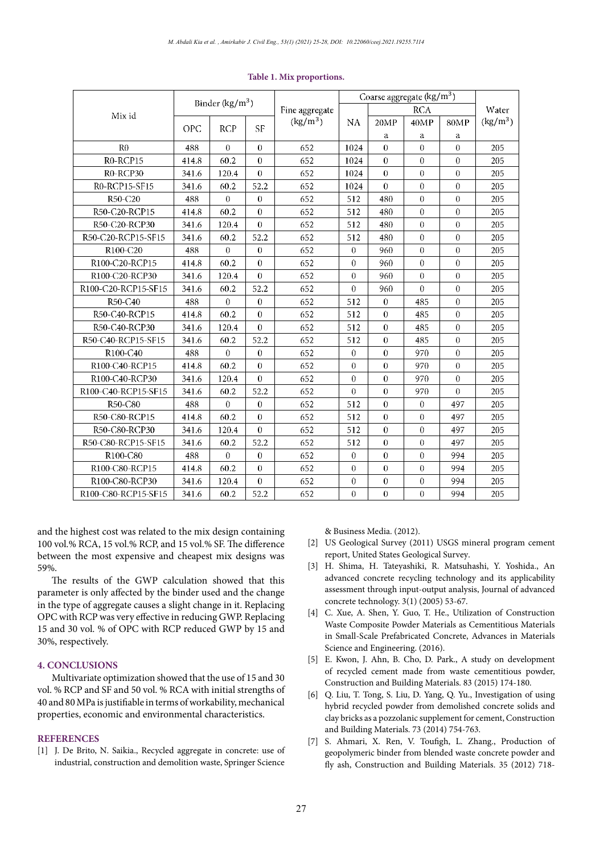| Mix id              | Binder $(kg/m^3)$ |            |           | Fine aggregate | Coarse aggregate (kg/m <sup>3</sup> ) |            |          |             |            |
|---------------------|-------------------|------------|-----------|----------------|---------------------------------------|------------|----------|-------------|------------|
|                     |                   |            |           |                |                                       | <b>RCA</b> |          |             | Water      |
|                     | <b>OPC</b>        | <b>RCP</b> | <b>SF</b> | $(kg/m^3)$     | NA                                    | 20MP       | 40MP     | <b>80MP</b> | $(kg/m^3)$ |
|                     |                   |            |           |                |                                       | а          | а        | а           |            |
| R <sub>0</sub>      | 488               | $\theta$   | $\Omega$  | 652            | 1024                                  | $\theta$   | $\theta$ | $\theta$    | 205        |
| R0-RCP15            | 414.8             | 60.2       | 0         | 652            | 1024                                  | $\theta$   | $\theta$ | $\theta$    | 205        |
| R0-RCP30            | 341.6             | 120.4      | 0         | 652            | 1024                                  | $\theta$   | $\theta$ | $\theta$    | 205        |
| R0-RCP15-SF15       | 341.6             | 60.2       | 52.2      | 652            | 1024                                  | $\theta$   | $\theta$ | $\theta$    | 205        |
| R50-C20             | 488               | $\theta$   | 0         | 652            | 512                                   | 480        | $\theta$ | $\theta$    | 205        |
| R50-C20-RCP15       | 414.8             | 60.2       | $\Omega$  | 652            | 512                                   | 480        | $\theta$ | $\theta$    | 205        |
| R50-C20-RCP30       | 341.6             | 120.4      | 0         | 652            | 512                                   | 480        | $\theta$ | $\theta$    | 205        |
| R50-C20-RCP15-SF15  | 341.6             | 60.2       | 52.2      | 652            | 512                                   | 480        | $\theta$ | $\theta$    | 205        |
| R100-C20            | 488               | $\theta$   | 0         | 652            | $\theta$                              | 960        | $\theta$ | $\theta$    | 205        |
| R100-C20-RCP15      | 414.8             | 60.2       | $\theta$  | 652            | $\theta$                              | 960        | $\theta$ | $\theta$    | 205        |
| R100-C20-RCP30      | 341.6             | 120.4      | $\theta$  | 652            | $\theta$                              | 960        | $\theta$ | $\theta$    | 205        |
| R100-C20-RCP15-SF15 | 341.6             | 60.2       | 52.2      | 652            | 0                                     | 960        | 0        | $\theta$    | 205        |
| R50-C40             | 488               | $\theta$   | 0         | 652            | 512                                   | $\theta$   | 485      | $\theta$    | 205        |
| R50-C40-RCP15       | 414.8             | 60.2       | $\theta$  | 652            | 512                                   | $\theta$   | 485      | $\theta$    | 205        |
| R50-C40-RCP30       | 341.6             | 120.4      | 0         | 652            | 512                                   | $\theta$   | 485      | $\theta$    | 205        |
| R50-C40-RCP15-SF15  | 341.6             | 60.2       | 52.2      | 652            | 512                                   | $\theta$   | 485      | $\theta$    | 205        |
| R100-C40            | 488               | $\theta$   | 0         | 652            | $\theta$                              | $\theta$   | 970      | $\theta$    | 205        |
| R100-C40-RCP15      | 414.8             | 60.2       | 0         | 652            | $\Omega$                              | $\theta$   | 970      | $\theta$    | 205        |
| R100-C40-RCP30      | 341.6             | 120.4      | $\theta$  | 652            | $\theta$                              | $\theta$   | 970      | $\theta$    | 205        |
| R100-C40-RCP15-SF15 | 341.6             | 60.2       | 52.2      | 652            | $\Omega$                              | $\theta$   | 970      | $\theta$    | 205        |
| R50-C80             | 488               | 0          | 0         | 652            | 512                                   | $\theta$   | 0        | 497         | 205        |
| R50-C80-RCP15       | 414.8             | 60.2       | $\theta$  | 652            | 512                                   | $\theta$   | $\Omega$ | 497         | 205        |
| R50-C80-RCP30       | 341.6             | 120.4      | $\theta$  | 652            | 512                                   | $\theta$   | $\theta$ | 497         | 205        |
| R50-C80-RCP15-SF15  | 341.6             | 60.2       | 52.2      | 652            | 512                                   | $\theta$   | $\theta$ | 497         | 205        |
| R100-C80            | 488               | $\theta$   | 0         | 652            | $\theta$                              | $\theta$   | $\theta$ | 994         | 205        |
| R100-C80-RCP15      | 414.8             | 60.2       | $\theta$  | 652            | $\Omega$                              | $\theta$   | $\theta$ | 994         | 205        |
| R100-C80-RCP30      | 341.6             | 120.4      | 0         | 652            | $\Omega$                              | $\theta$   | $\theta$ | 994         | 205        |
| R100-C80-RCP15-SF15 | 341.6             | 60.2       | 52.2      | 652            | $\theta$                              | $\theta$   | $\theta$ | 994         | 205        |

#### **Table 1. Mix proportions.**

and the highest cost was related to the mix design containing 100 vol.% RCA, 15 vol.% RCP, and 15 vol.% SF. The difference between the most expensive and cheapest mix designs was 59%.

The results of the GWP calculation showed that this parameter is only affected by the binder used and the change in the type of aggregate causes a slight change in it. Replacing OPC with RCP was very effective in reducing GWP. Replacing 15 and 30 vol. % of OPC with RCP reduced GWP by 15 and 30%, respectively.

# **4. CONCLUSIONS**

Multivariate optimization showed that the use of 15 and 30 vol. % RCP and SF and 50 vol. % RCA with initial strengths of 40 and 80 MPa is justifiable in terms of workability, mechanical properties, economic and environmental characteristics.

# **REFERENCES**

[1] J. De Brito, N. Saikia., Recycled aggregate in concrete: use of industrial, construction and demolition waste, Springer Science

& Business Media. (2012).

- [2] US Geological Survey (2011) USGS mineral program cement report, United States Geological Survey.
- [3] H. Shima, H. Tateyashiki, R. Matsuhashi, Y. Yoshida., An advanced concrete recycling technology and its applicability assessment through input-output analysis, Journal of advanced concrete technology. 3(1) (2005) 53-67.
- [4] C. Xue, A. Shen, Y. Guo, T. He., Utilization of Construction Waste Composite Powder Materials as Cementitious Materials in Small-Scale Prefabricated Concrete, Advances in Materials Science and Engineering. (2016).
- [5] E. Kwon, J. Ahn, B. Cho, D. Park., A study on development of recycled cement made from waste cementitious powder, Construction and Building Materials. 83 (2015) 174-180.
- [6] Q. Liu, T. Tong, S. Liu, D. Yang, Q. Yu., Investigation of using hybrid recycled powder from demolished concrete solids and clay bricks as a pozzolanic supplement for cement, Construction and Building Materials. 73 (2014) 754-763.
- [7] S. Ahmari, X. Ren, V. Toufigh, L. Zhang., Production of geopolymeric binder from blended waste concrete powder and fly ash, Construction and Building Materials. 35 (2012) 718-